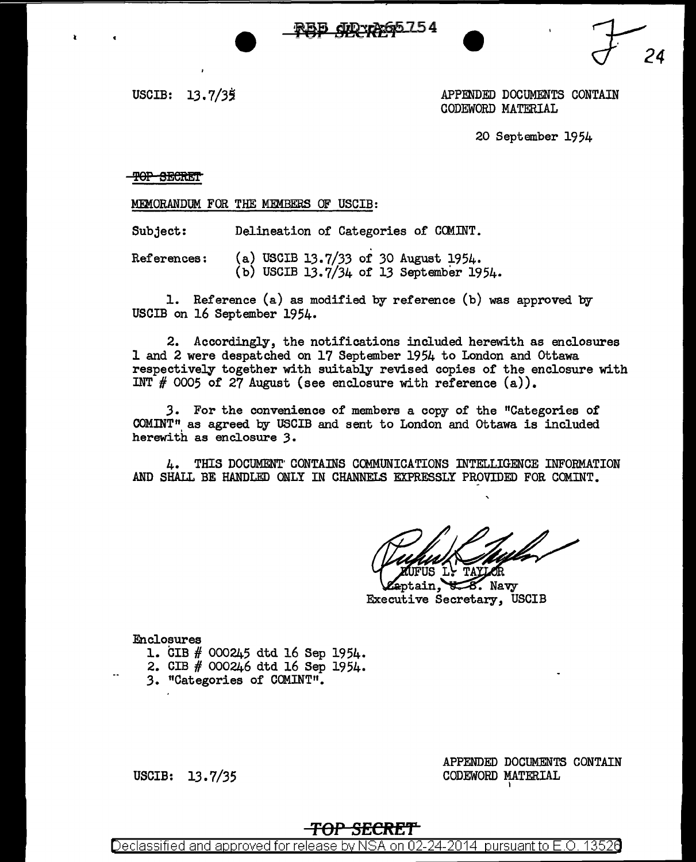

APPENDED DOCUMENTS CONTAIN CODEWORD MATERIAL

*'Y24* 

20 September 1954

**TOP SECRET** 

MEMORANDUM FOR THE MEMBERS OF USCIB:

Subject: Delineation of Categories of CCMINT.

References: (a) USCIB 13.7/33 of 30 August 1954. (b) USCIB 13.7/34 of 13 September 1954.

1. Reference (a) as modified by reference (b) was approved by USCIB on 16 September 1954.

2. Accordingly, the notifications included herewith as enclosures 1 and 2 were despatched on 17 September 1954 to London and Ottawa respectively together with suitably revised copies of the enclosure with INT  $#$  0005 of 27 August (see enclosure with reference  $(a)$ ).

*3.* For the convenience of members a copy of the "Categories of COMINT" as agreed by USCIB and sent to London and ottawa is included herewith as enclosure *3.* 

4. THIS DOCUMENT' CONTAINS COMMUNICATIONS INTELLIGENCE INFORMATION AND SHALL BE HANDLED ONLY IN CHANNELS EXPRESSLY PROVIDED FOR COMINT.

US LY TAYLOR

eptain.  $\sqrt{8}$ . Navy Executive Secretary, USCIB

Enclosures

- l. CIB # 000245 dtd 16 Sep 1954.
- 2. CIB # 000246 dtd 16 Sep 1954.
- 3. "Categories of COMINT".

USCIB:  $13.7/35$ 

APPENDED DOCUMENTS CONTAIN CODEWORD MATERIAL I

# *TOP* **SECRET**

Declassified and approved for release by NSA on 02-24-2014 pursuant to E.O. 13526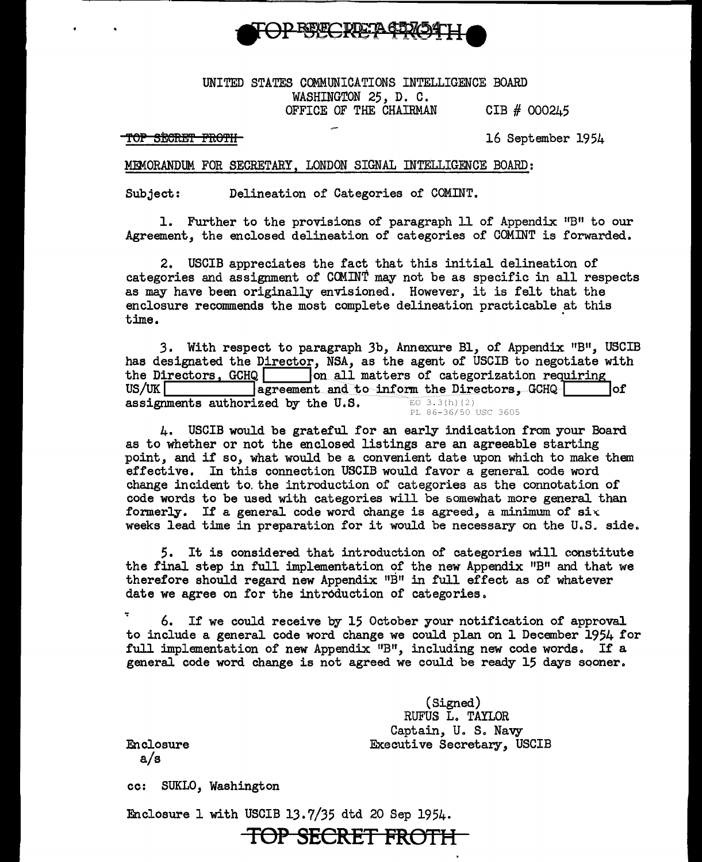

### UNITED STATES COMMUNICATIONS INTELLIGENCE BOARD WASHINGTON 25, D. C. OFFICE OF THE CHAIRMAN CIB  $#$  000245

TOP SECRET FROTH-<br>
TOP SECRET FROTH-

#### MEMORANDUM FOR SECRETARY, LONDON SIGNAL INTELLIGENCE BOARD:

Subject: Delineation of Categories of COMINT.

1. Further to the provisions of paragraph 11 of Appendix "B" to our Agreement, the enclosed delineation or categories of COMINT is forwarded.

2. USCIB appreciates the fact that this initial delineation of categories and assignment of COMINT may not be as specific in all respects as may have been originally envisioned. However, it is felt that the enclosure recommends the most complete delineation practicable at this  $time.$ 

3. With respect to paragraph 3b, Annexure Bl, of Appendix "B", USCIB has designated the Director, NSA, as the agent of USCIB to negotiate with the Directors,  $GCHQ$  on all matters of categorization requiring<br>US/UK agreement and to inform the Directors,  $GCHQ$ degreement and to inform the Directors, GCHQ internal loft contract to the U.S. assignments authorized by the U.S. PL 86-36/50 USC 3605

4. USCIB would be grateful for an early indication from your Board as to whether or not the enclosed listings are an agreeable starting point, and if so, what would be a convenient date upon which to make them effective. In this connection USCIB would favor a general code word change incident to. the introduction of categories as the connotation of code words to be used with categories will be somewhat more general than formerly. If a general code word change is agreed, a minimum of  $\texttt{six}$ weeks lead time in preparation for it would be necessary on the U.S. side.

*5.* It is considered that introduction of categories will constitute the final step in full implementation of the new Appendix  $"B"$  and that we therefore should regard new Appendix  $"B"$  in full effect as of whatever date we agree on for the introduction of categories.

6. If we could receive by 15 October your notification of approval to include a general code word change we could plan on 1 December 1954 for full implementation of new Appendix "B", including new code words. If a general code word change is not agreed we could be ready 15 days sooner.

> (Signed) RUFUS L. TAYLOR Captain, U. S. Navy Executive Secretary, USCIB

Enclosure a/s

cc: SUKLO, Washington

Enclosure 1 with USCIB 13.7/35 dtd 20 Sep 1954.

**TOP SECRET FROTH**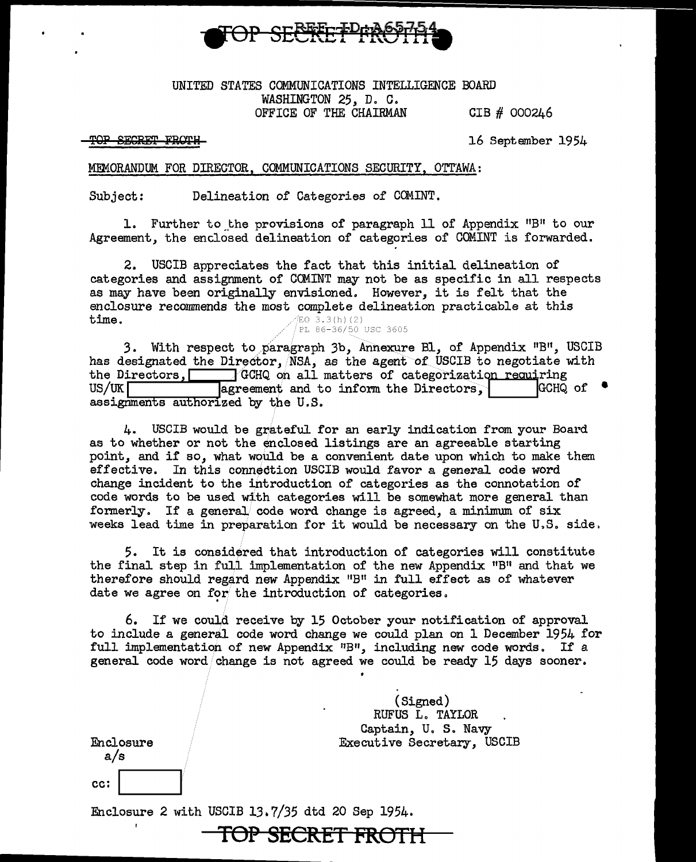

### UNITED STATES COMMUNICATIONS INTELLIGENCE BOARD WASHINGTON 25, D. C. OFFICE OF THE CHAIRMAN GIB  $#$  000246

TOP SECRET FROTH

16 September 1954

#### MEMORANDUM FOR DIRECTOR, COMMUNICATIONS SECURITY, OTTAWA:

Subject: Delineation of Categories of COMINT.

1. Further to the provisions of paragraph 11 of Appendix "B" to our Agreement, the enclosed delineation of categories of COMINT is forwarded.

2. USCIB appreciates the fact that this initial delineation of categories and assignment of CCMINT may not be as specific in all respects as may have been originally envisioned. However, it is felt that the enclosure recommends the most complete delineation practicable at this time.  $EO 3.3(h) (2)$ PL 86-36/50 USC 3605

3. With respect to paragraph 3b, Annexure Bl, of Appendix "B", USCIB has designated the Director, NSA, as the agent of USCIB to negotiate with the Directors, **/** *GCHQ* on all matters of categorization requiring US/UK agreement and to inform the Directors,  $\begin{bmatrix} \text{GCHQ} \\ \text{GCHQ} \end{bmatrix}$ assignments authorized by the U.S.

4. USCIB would be grateful for an early indication from your Board as to whether or not the enclosed listings are an agreeable starting point, and if so, what would be a convenient date upon which to make them effective. In this connection USCIB would favor a general code word change incident to the introduction of categories as the connotation of code words to be used with categories will be somewhat more general than formerly. If a general code word change is agreed, a minimum of  $six$ weeks lead time in preparation for it would be necessary on the U.S. side.

5. It is considered that introduction of categories will constitute the final step in full implementation of the new Appendix  $\mathbf{H}^{\text{B}}$  and that we therefore should regard new Appendix  $"B"$  in full effect as of whatever date we agree on for the introduction of categories.

6. If we could receive by 15 October your notification of approval to include a general code word change we could plan on 1 December 1954 for full implementation of new Appendix  $"B"$ , including new code words. If a general code word/change is not agreed we could be ready 15 days sooner.

|           | (Signed)<br>٠<br>RUFUS L. TAYLOR<br>Captain, U. S. Navy |
|-----------|---------------------------------------------------------|
| Enclosure | Executive Secretary, USCIB                              |
| a/s       |                                                         |
| cc:       |                                                         |

**TOP SECRET FROTH** 

Enclosure 2 with USCIB 13.7/35 dtd 20 Sep 1954.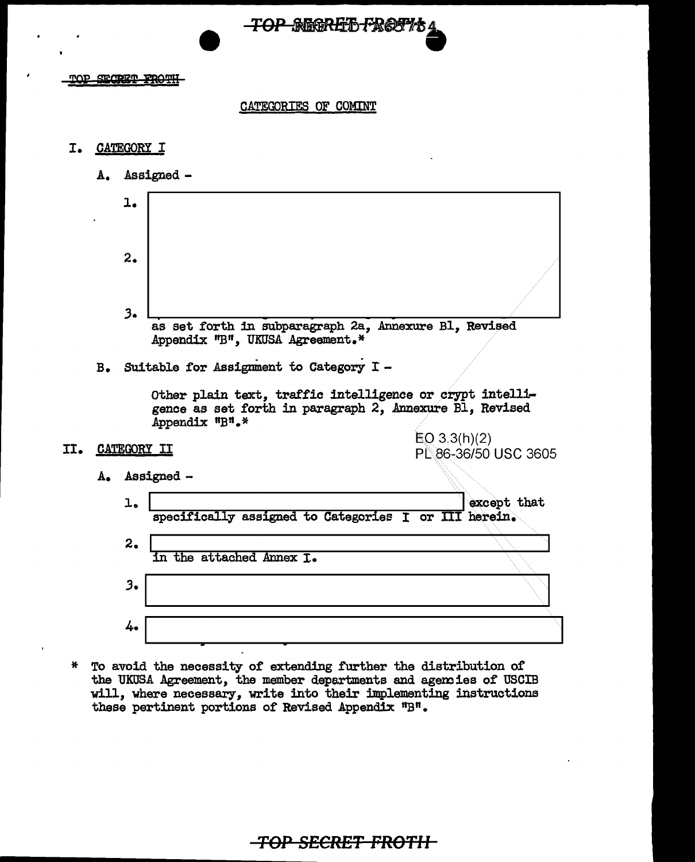

TOP SECRET FROTH

#### CATEGORIES OF COMINT

#### I. CATEGORY I

- A. Assigned
	- l. 2.  $3.$ as set forth in subparagraph 2a, Annexure Bl, Revised Appendix "B", UKUSA Agreement.\*
- B. Suitable for Assignment to Category  $I -$

Other plain text, traffic intelligence or crypt intelligence as set forth in paragraph 2, Annexure Bl, Revised Appendix "B".\*

II. CATEGORY II

EQ 3.3(h)(2) Pl..:86-36/50 USC 3605

A. Assigned -



\* To avoid the necessity of extending further the distribution of the UKOSA Agreement, the member departments and agem ies or USCIB will, where necessary, write into their implementing instructions these pertinent portions of Revised Appendix "B".

# **TOP SECRET FROTII**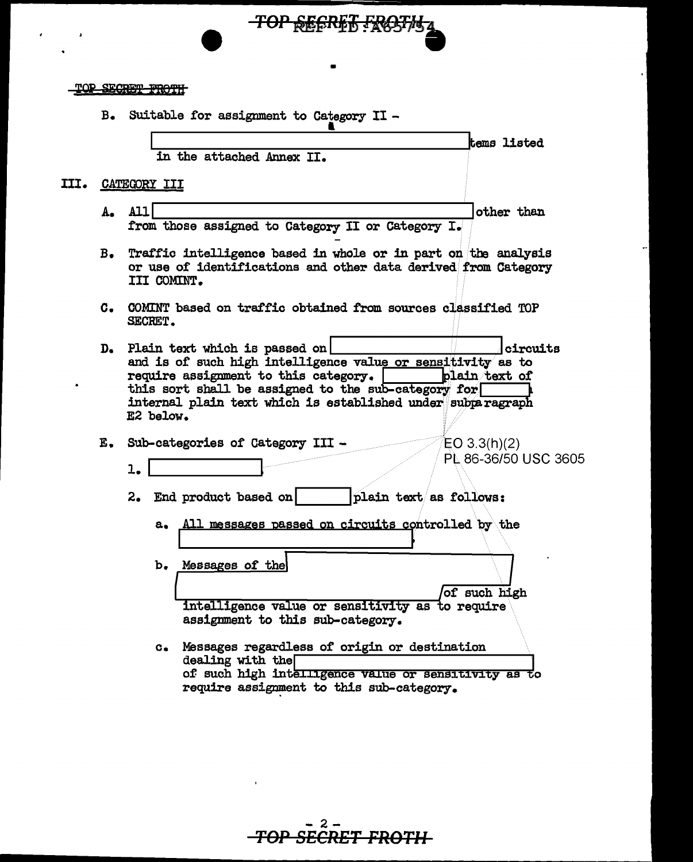| <b>TOD CEMERA DRAMIL</b>               |  |
|----------------------------------------|--|
| <del>d yn Digwys yn y l</del> lwy i ll |  |

B. Suitable for assignment to Category II -

in the attached Annex II.

III. CATEGORY III

- A. All other than from those assigned to Category II or Category I.
- Traffic intelligence based in whole or in part on the analysis B. or use of identifications and other data derived from Category III COMINT.

TOP SECRET FROSTM

tems listed

- C. COMINT based on traffic obtained from sources classified TOP SECRET.
- D. Plain text which is passed on circuits and is of such high intelligence value or sensitivity as to require assignment to this category. | plain text of this sort shall be assigned to the sub-category for internal plain text which is established under subparagraph E2 below.

E. Sub-categories of Category III - $EO 3.3(h)(2)$ PL 86-36/50 USC 3605  $1.$ 

2. End product based on plain text as follows:

All messages passed on circuits controlled by the a.

b. Messages of the

of such high intelligence value or sensitivity as to require assignment to this sub-category.

c. Messages regardless of origin or destination  $dealing$  with the of such high intelligence value or sensitivity as to require assignment to this sub-category.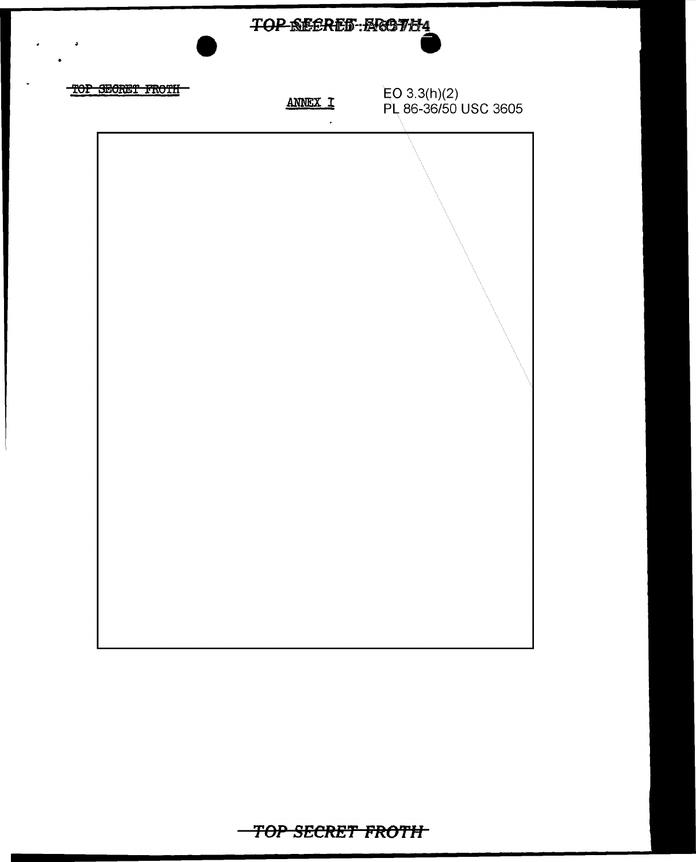

TOP SECRET FROTH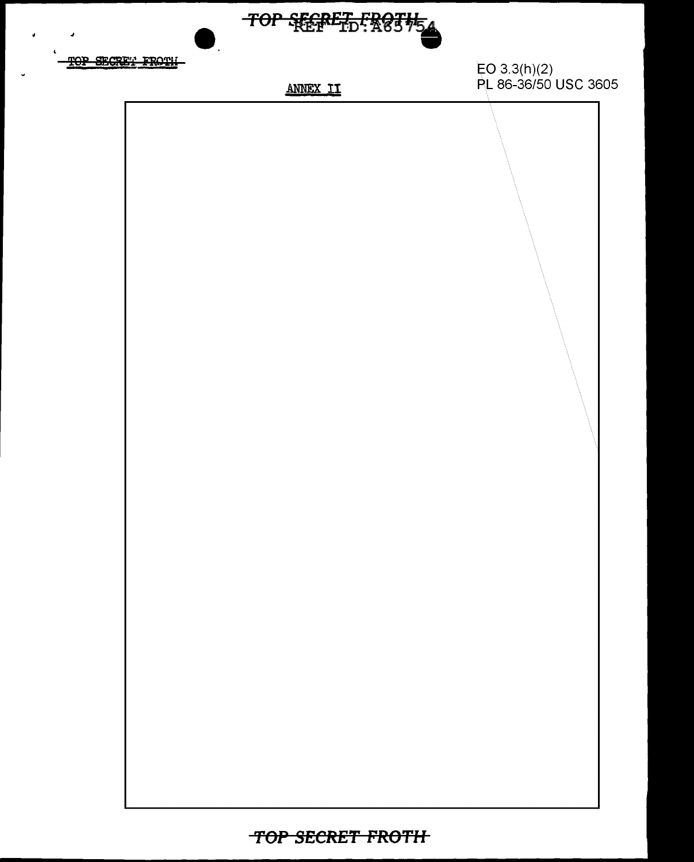

TOP SECRET FROTH-

**ANNEX II** 

EO 3.3(h)(2)<br>PL 86-36/50 USC 3605

TOP SECRET FROTH